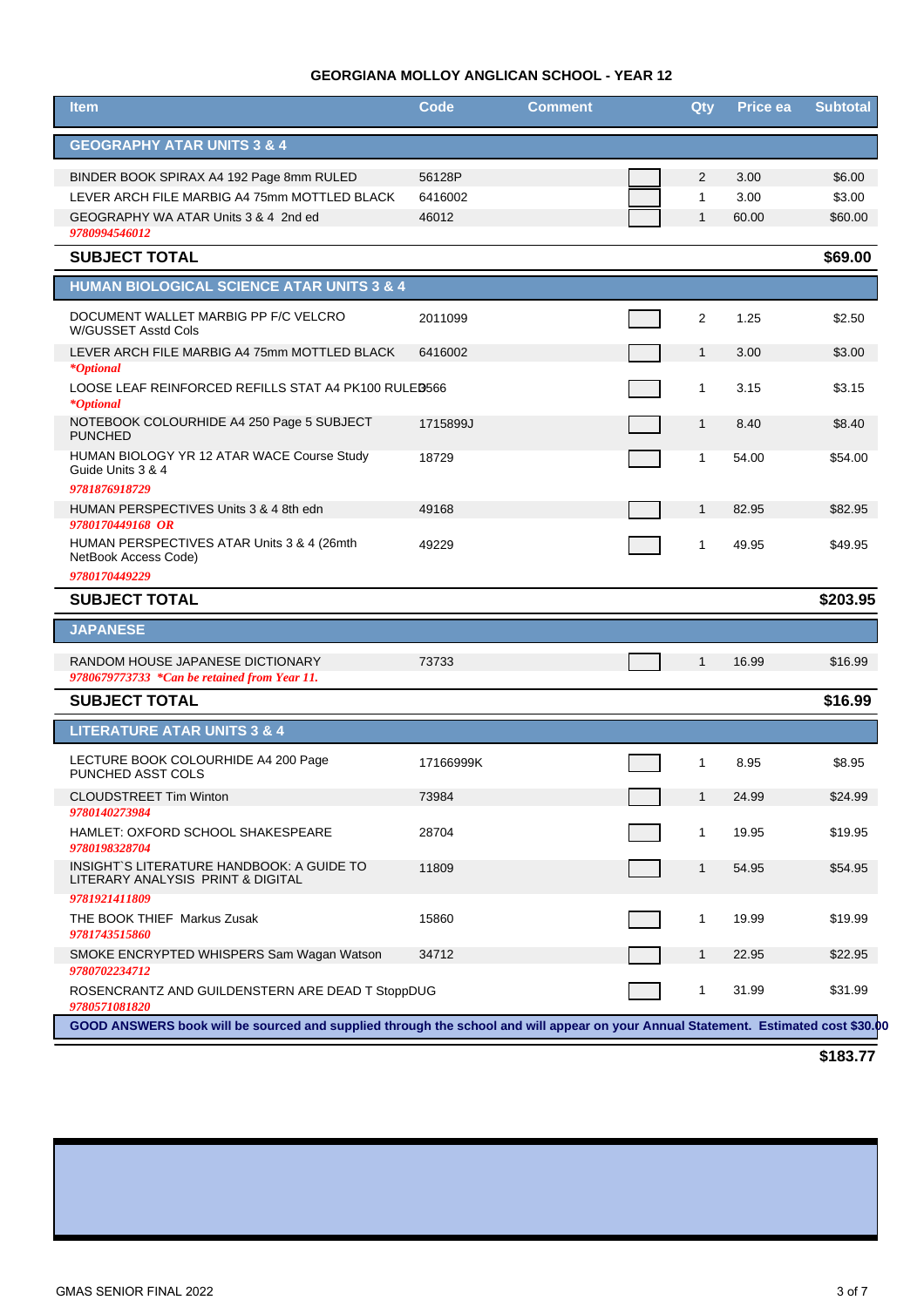| <b>Item</b>                                                                                                                        | Code      | Comment | Qty            | Price ea | <b>Subtotal</b> |
|------------------------------------------------------------------------------------------------------------------------------------|-----------|---------|----------------|----------|-----------------|
| <b>GEOGRAPHY ATAR UNITS 3 &amp; 4</b>                                                                                              |           |         |                |          |                 |
| BINDER BOOK SPIRAX A4 192 Page 8mm RULED                                                                                           | 56128P    |         | 2              | 3.00     | \$6.00          |
| LEVER ARCH FILE MARBIG A4 75mm MOTTLED BLACK                                                                                       | 6416002   |         | $\mathbf{1}$   | 3.00     | \$3.00          |
| GEOGRAPHY WA ATAR Units 3 & 4 2nd ed                                                                                               | 46012     |         | $\mathbf{1}$   | 60.00    | \$60.00         |
| 9780994546012<br><b>SUBJECT TOTAL</b>                                                                                              |           |         |                |          | \$69.00         |
|                                                                                                                                    |           |         |                |          |                 |
| <b>HUMAN BIOLOGICAL SCIENCE ATAR UNITS 3 &amp; 4</b>                                                                               |           |         |                |          |                 |
| DOCUMENT WALLET MARBIG PP F/C VELCRO<br>W/GUSSET Asstd Cols                                                                        | 2011099   |         | $\overline{2}$ | 1.25     | \$2.50          |
| LEVER ARCH FILE MARBIG A4 75mm MOTTLED BLACK<br><i>*Optional</i>                                                                   | 6416002   |         | $\mathbf{1}$   | 3.00     | \$3.00          |
| LOOSE LEAF REINFORCED REFILLS STAT A4 PK100 RULED<br><i>*Optional</i>                                                              | 3566      |         | 1              | 3.15     | \$3.15          |
| NOTEBOOK COLOURHIDE A4 250 Page 5 SUBJECT<br><b>PUNCHED</b>                                                                        | 1715899J  |         | $\mathbf{1}$   | 8.40     | \$8.40          |
| HUMAN BIOLOGY YR 12 ATAR WACE Course Study<br>Guide Units 3 & 4                                                                    | 18729     |         | $\mathbf 1$    | 54.00    | \$54.00         |
| 9781876918729                                                                                                                      |           |         |                |          |                 |
| HUMAN PERSPECTIVES Units 3 & 4 8th edn<br>9780170449168 OR                                                                         | 49168     |         | $\mathbf{1}$   | 82.95    | \$82.95         |
| HUMAN PERSPECTIVES ATAR Units 3 & 4 (26mth<br>NetBook Access Code)                                                                 | 49229     |         | $\mathbf{1}$   | 49.95    | \$49.95         |
| 9780170449229                                                                                                                      |           |         |                |          |                 |
| <b>SUBJECT TOTAL</b>                                                                                                               |           |         |                |          | \$203.95        |
| <b>JAPANESE</b>                                                                                                                    |           |         |                |          |                 |
| RANDOM HOUSE JAPANESE DICTIONARY<br>9780679773733 *Can be retained from Year 11.                                                   | 73733     |         | $\mathbf{1}$   | 16.99    | \$16.99         |
| <b>SUBJECT TOTAL</b>                                                                                                               |           |         |                |          | \$16.99         |
| <b>LITERATURE ATAR UNITS 3 &amp; 4</b>                                                                                             |           |         |                |          |                 |
| LECTURE BOOK COLOURHIDE A4 200 Page<br>PUNCHED ASST COLS                                                                           | 17166999K |         | $\mathbf{1}$   | 8.95     | \$8.95          |
| <b>CLOUDSTREET Tim Winton</b><br>9780140273984                                                                                     | 73984     |         | 1              | 24.99    | \$24.99         |
| HAMLET: OXFORD SCHOOL SHAKESPEARE<br>9780198328704                                                                                 | 28704     |         | $\mathbf{1}$   | 19.95    | \$19.95         |
| INSIGHT'S LITERATURE HANDBOOK: A GUIDE TO<br>LITERARY ANALYSIS PRINT & DIGITAL                                                     | 11809     |         | $\mathbf{1}$   | 54.95    | \$54.95         |
| 9781921411809                                                                                                                      |           |         |                |          |                 |
| THE BOOK THIEF Markus Zusak<br>9781743515860                                                                                       | 15860     |         | $\mathbf{1}$   | 19.99    | \$19.99         |
| SMOKE ENCRYPTED WHISPERS Sam Wagan Watson<br>9780702234712                                                                         | 34712     |         | $\mathbf{1}$   | 22.95    | \$22.95         |
| ROSENCRANTZ AND GUILDENSTERN ARE DEAD T Stopp D U G<br>9780571081820                                                               |           |         | $\mathbf{1}$   | 31.99    | \$31.99         |
| GOOD ANSWERS book will be sourced and supplied through the school and will appear on your Annual Statement. Estimated cost \$30.00 |           |         |                |          |                 |
|                                                                                                                                    |           |         |                |          | \$183.77        |

# **&RQWLQXHGRQQH[WSDJH**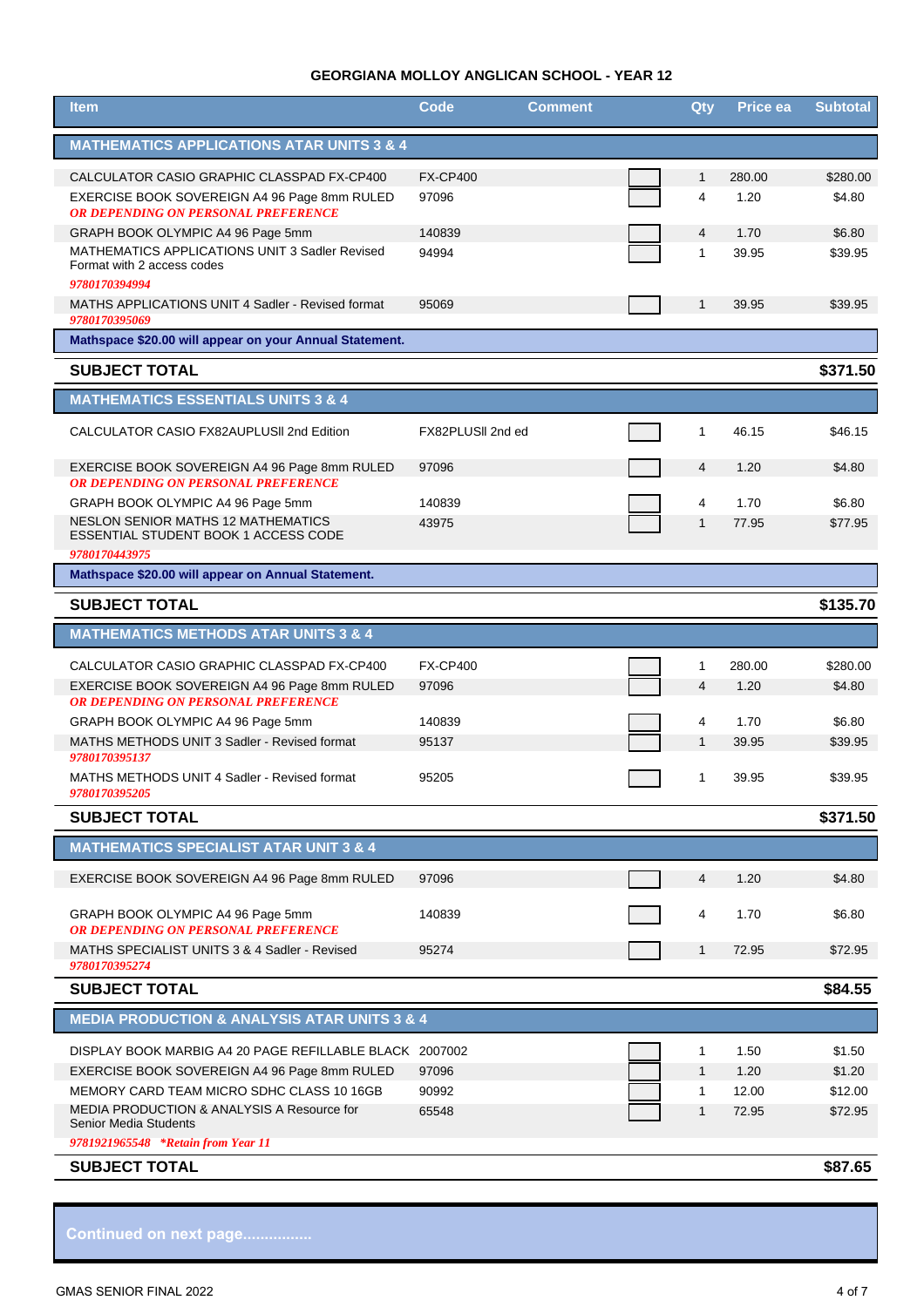| <b>Item</b>                                                                                   | Code              | <b>Comment</b> | Qty            | Price ea | <b>Subtotal</b> |
|-----------------------------------------------------------------------------------------------|-------------------|----------------|----------------|----------|-----------------|
| <b>MATHEMATICS APPLICATIONS ATAR UNITS 3 &amp; 4</b>                                          |                   |                |                |          |                 |
| CALCULATOR CASIO GRAPHIC CLASSPAD FX-CP400                                                    | <b>FX-CP400</b>   |                | $\mathbf{1}$   | 280.00   | \$280.00        |
| EXERCISE BOOK SOVEREIGN A4 96 Page 8mm RULED<br>OR DEPENDING ON PERSONAL PREFERENCE           | 97096             |                | 4              | 1.20     | \$4.80          |
| GRAPH BOOK OLYMPIC A4 96 Page 5mm                                                             | 140839            |                | $\overline{4}$ | 1.70     | \$6.80          |
| MATHEMATICS APPLICATIONS UNIT 3 Sadler Revised<br>Format with 2 access codes<br>9780170394994 | 94994             |                | $\mathbf{1}$   | 39.95    | \$39.95         |
| MATHS APPLICATIONS UNIT 4 Sadler - Revised format<br>9780170395069                            | 95069             |                | $\mathbf{1}$   | 39.95    | \$39.95         |
| Mathspace \$20.00 will appear on your Annual Statement.                                       |                   |                |                |          |                 |
| <b>SUBJECT TOTAL</b>                                                                          |                   |                |                |          | \$371.50        |
| <b>MATHEMATICS ESSENTIALS UNITS 3 &amp; 4</b>                                                 |                   |                |                |          |                 |
| CALCULATOR CASIO FX82AUPLUSII 2nd Edition                                                     | FX82PLUSII 2nd ed |                | 1              | 46.15    | \$46.15         |
| EXERCISE BOOK SOVEREIGN A4 96 Page 8mm RULED<br>OR DEPENDING ON PERSONAL PREFERENCE           | 97096             |                | 4              | 1.20     | \$4.80          |
| GRAPH BOOK OLYMPIC A4 96 Page 5mm                                                             | 140839            |                | 4              | 1.70     | \$6.80          |
| <b>NESLON SENIOR MATHS 12 MATHEMATICS</b><br><b>ESSENTIAL STUDENT BOOK 1 ACCESS CODE</b>      | 43975             |                | $\mathbf{1}$   | 77.95    | \$77.95         |
| 9780170443975                                                                                 |                   |                |                |          |                 |
| Mathspace \$20.00 will appear on Annual Statement.                                            |                   |                |                |          |                 |
| <b>SUBJECT TOTAL</b>                                                                          |                   |                |                |          | \$135.70        |
| <b>MATHEMATICS METHODS ATAR UNITS 3 &amp; 4</b>                                               |                   |                |                |          |                 |
| CALCULATOR CASIO GRAPHIC CLASSPAD FX-CP400                                                    | <b>FX-CP400</b>   |                | $\mathbf{1}$   | 280.00   | \$280.00        |
| EXERCISE BOOK SOVEREIGN A4 96 Page 8mm RULED<br>OR DEPENDING ON PERSONAL PREFERENCE           | 97096             |                | $\overline{4}$ | 1.20     | \$4.80          |
| GRAPH BOOK OLYMPIC A4 96 Page 5mm                                                             | 140839            |                | 4              | 1.70     | \$6.80          |
| MATHS METHODS UNIT 3 Sadler - Revised format<br>9780170395137                                 | 95137             |                | $\mathbf{1}$   | 39.95    | \$39.95         |
| MATHS METHODS UNIT 4 Sadler - Revised format<br><i>9780170395205</i>                          | 95205             |                | $\mathbf{1}$   | 39.95    | \$39.95         |
| <b>SUBJECT TOTAL</b>                                                                          |                   |                |                |          | \$371.50        |
| <b>MATHEMATICS SPECIALIST ATAR UNIT 3 &amp; 4</b>                                             |                   |                |                |          |                 |
| EXERCISE BOOK SOVEREIGN A4 96 Page 8mm RULED                                                  | 97096             |                | 4              | 1.20     | \$4.80          |
| GRAPH BOOK OLYMPIC A4 96 Page 5mm<br>OR DEPENDING ON PERSONAL PREFERENCE                      | 140839            |                | 4              | 1.70     | \$6.80          |
| MATHS SPECIALIST UNITS 3 & 4 Sadler - Revised<br>9780170395274                                | 95274             |                | $\mathbf{1}$   | 72.95    | \$72.95         |
| <b>SUBJECT TOTAL</b>                                                                          |                   |                |                |          | \$84.55         |
| <b>MEDIA PRODUCTION &amp; ANALYSIS ATAR UNITS 3 &amp; 4</b>                                   |                   |                |                |          |                 |
| DISPLAY BOOK MARBIG A4 20 PAGE REFILLABLE BLACK 2007002                                       |                   |                | $\mathbf{1}$   | 1.50     | \$1.50          |
| EXERCISE BOOK SOVEREIGN A4 96 Page 8mm RULED                                                  | 97096             |                | $\mathbf{1}$   | 1.20     | \$1.20          |
| MEMORY CARD TEAM MICRO SDHC CLASS 10 16GB                                                     | 90992             |                | $\mathbf{1}$   | 12.00    | \$12.00         |
| <b>MEDIA PRODUCTION &amp; ANALYSIS A Resource for</b><br><b>Senior Media Students</b>         | 65548             |                | $\mathbf{1}$   | 72.95    | \$72.95         |
| 9781921965548 *Retain from Year 11                                                            |                   |                |                |          |                 |
| <b>SUBJECT TOTAL</b>                                                                          |                   |                |                |          | \$87.65         |

**Continued on next page................**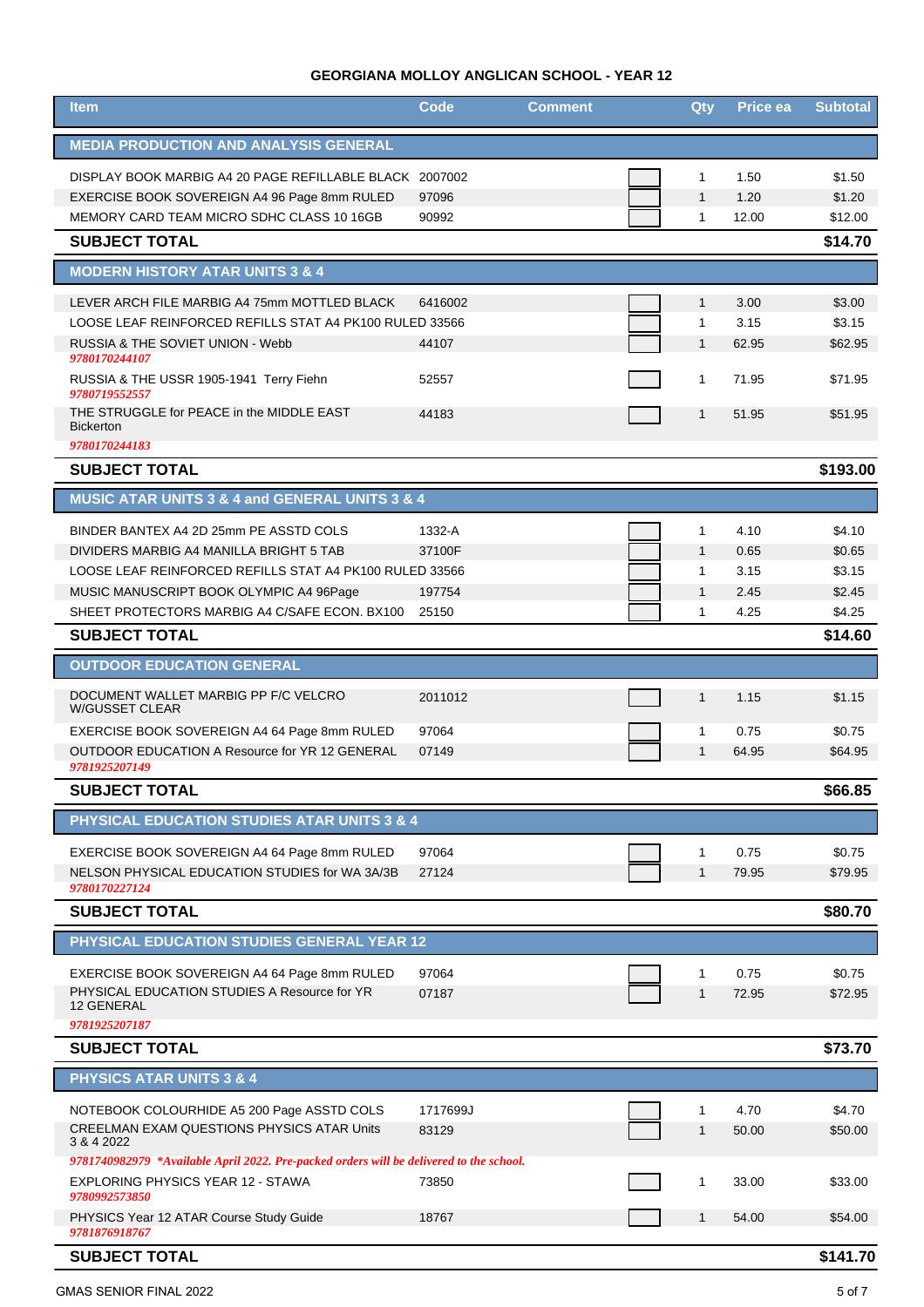| <b>Item</b>                                                                                                                  | Code              | Comment | Qty                          | Price ea      | <b>Subtotal</b>    |
|------------------------------------------------------------------------------------------------------------------------------|-------------------|---------|------------------------------|---------------|--------------------|
| <b>MEDIA PRODUCTION AND ANALYSIS GENERAL</b>                                                                                 |                   |         |                              |               |                    |
| DISPLAY BOOK MARBIG A4 20 PAGE REFILLABLE BLACK 2007002                                                                      |                   |         | $\mathbf{1}$                 | 1.50          | \$1.50             |
| EXERCISE BOOK SOVEREIGN A4 96 Page 8mm RULED                                                                                 | 97096             |         | $\mathbf{1}$                 | 1.20          | \$1.20             |
| MEMORY CARD TEAM MICRO SDHC CLASS 10 16GB<br><b>SUBJECT TOTAL</b>                                                            | 90992             |         | 1                            | 12.00         | \$12.00<br>\$14.70 |
|                                                                                                                              |                   |         |                              |               |                    |
| <b>MODERN HISTORY ATAR UNITS 3 &amp; 4</b>                                                                                   |                   |         |                              |               |                    |
| LEVER ARCH FILE MARBIG A4 75mm MOTTLED BLACK<br>LOOSE LEAF REINFORCED REFILLS STAT A4 PK100 RULED 33566                      | 6416002           |         | $\mathbf{1}$<br>$\mathbf{1}$ | 3.00<br>3.15  | \$3.00<br>\$3.15   |
| RUSSIA & THE SOVIET UNION - Webb                                                                                             | 44107             |         | $\mathbf{1}$                 | 62.95         | \$62.95            |
| 9780170244107                                                                                                                |                   |         | 1                            |               |                    |
| RUSSIA & THE USSR 1905-1941 Terry Fiehn<br>9780719552557                                                                     | 52557             |         |                              | 71.95         | \$71.95            |
| THE STRUGGLE for PEACE in the MIDDLE EAST<br><b>Bickerton</b>                                                                | 44183             |         | $\mathbf{1}$                 | 51.95         | \$51.95            |
| 9780170244183                                                                                                                |                   |         |                              |               |                    |
| <b>SUBJECT TOTAL</b>                                                                                                         |                   |         |                              |               | \$193.00           |
| MUSIC ATAR UNITS 3 & 4 and GENERAL UNITS 3 & 4                                                                               |                   |         |                              |               |                    |
| BINDER BANTEX A4 2D 25mm PE ASSTD COLS                                                                                       | 1332-A            |         | $\mathbf{1}$                 | 4.10          | \$4.10             |
| DIVIDERS MARBIG A4 MANILLA BRIGHT 5 TAB                                                                                      | 37100F            |         | $\mathbf{1}$                 | 0.65          | \$0.65             |
| LOOSE LEAF REINFORCED REFILLS STAT A4 PK100 RULED 33566                                                                      |                   |         | $\mathbf{1}$                 | 3.15          | \$3.15             |
| MUSIC MANUSCRIPT BOOK OLYMPIC A4 96Page<br>SHEET PROTECTORS MARBIG A4 C/SAFE ECON, BX100                                     | 197754<br>25150   |         | $\mathbf{1}$<br>1            | 2.45<br>4.25  | \$2.45<br>\$4.25   |
| <b>SUBJECT TOTAL</b>                                                                                                         |                   |         |                              |               | \$14.60            |
|                                                                                                                              |                   |         |                              |               |                    |
| <b>OUTDOOR EDUCATION GENERAL</b>                                                                                             |                   |         |                              |               |                    |
| DOCUMENT WALLET MARBIG PP F/C VELCRO<br><b>W/GUSSET CLEAR</b>                                                                | 2011012           |         | $\mathbf{1}$                 | 1.15          | \$1.15             |
| EXERCISE BOOK SOVEREIGN A4 64 Page 8mm RULED                                                                                 | 97064             |         | $\mathbf{1}$                 | 0.75          | \$0.75             |
| OUTDOOR EDUCATION A Resource for YR 12 GENERAL<br>9781925207149                                                              | 07149             |         | $\mathbf{1}$                 | 64.95         | \$64.95            |
| <b>SUBJECT TOTAL</b>                                                                                                         |                   |         |                              |               | \$66.85            |
| <b>PHYSICAL EDUCATION STUDIES ATAR UNITS 3 &amp; 4</b>                                                                       |                   |         |                              |               |                    |
| EXERCISE BOOK SOVEREIGN A4 64 Page 8mm RULED                                                                                 | 97064             |         | 1                            | 0.75          | \$0.75             |
| NELSON PHYSICAL EDUCATION STUDIES for WA 3A/3B                                                                               | 27124             |         | $\mathbf{1}$                 | 79.95         | \$79.95            |
| 9780170227124<br><b>SUBJECT TOTAL</b>                                                                                        |                   |         |                              |               | \$80.70            |
| PHYSICAL EDUCATION STUDIES GENERAL YEAR 12                                                                                   |                   |         |                              |               |                    |
|                                                                                                                              |                   |         |                              |               |                    |
| EXERCISE BOOK SOVEREIGN A4 64 Page 8mm RULED<br>PHYSICAL EDUCATION STUDIES A Resource for YR                                 | 97064             |         | 1                            | 0.75          | \$0.75             |
| 12 GENERAL                                                                                                                   | 07187             |         | $\mathbf{1}$                 | 72.95         | \$72.95            |
| 9781925207187<br><b>SUBJECT TOTAL</b>                                                                                        |                   |         |                              |               | \$73.70            |
|                                                                                                                              |                   |         |                              |               |                    |
| <b>PHYSICS ATAR UNITS 3 &amp; 4</b>                                                                                          |                   |         |                              |               |                    |
| NOTEBOOK COLOURHIDE A5 200 Page ASSTD COLS<br><b>CREELMAN EXAM QUESTIONS PHYSICS ATAR Units</b>                              | 1717699J<br>83129 |         | 1<br>$\mathbf{1}$            | 4.70<br>50.00 | \$4.70<br>\$50.00  |
| 3 & 4 2022                                                                                                                   |                   |         |                              |               |                    |
| 9781740982979 *Available April 2022. Pre-packed orders will be delivered to the school.<br>EXPLORING PHYSICS YEAR 12 - STAWA | 73850             |         | 1                            | 33.00         | \$33.00            |
| 9780992573850                                                                                                                |                   |         |                              |               |                    |
| PHYSICS Year 12 ATAR Course Study Guide<br>9781876918767                                                                     | 18767             |         | $\mathbf{1}$                 | 54.00         | \$54.00            |
| <b>SUBJECT TOTAL</b>                                                                                                         |                   |         |                              |               | \$141.70           |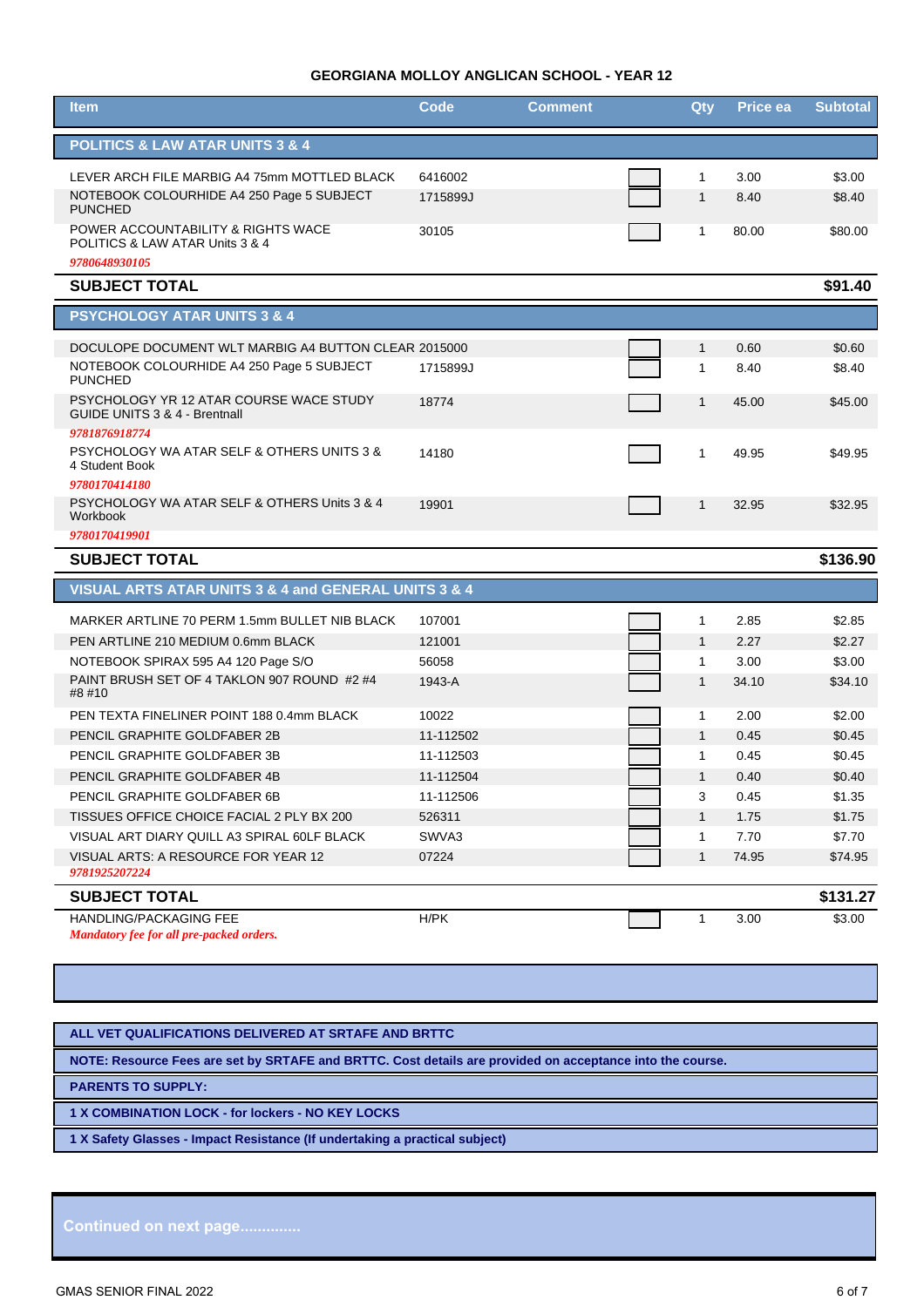| <b>Item</b>                                                                            | Code      | <b>Comment</b> | Qty          | Price ea | <b>Subtotal</b> |
|----------------------------------------------------------------------------------------|-----------|----------------|--------------|----------|-----------------|
| POLITICS & LAW ATAR UNITS 3 & 4                                                        |           |                |              |          |                 |
| LEVER ARCH FILE MARBIG A4 75mm MOTTLED BLACK                                           | 6416002   |                | $\mathbf{1}$ | 3.00     | \$3.00          |
| NOTEBOOK COLOURHIDE A4 250 Page 5 SUBJECT<br><b>PUNCHED</b>                            | 1715899J  |                | $\mathbf{1}$ | 8.40     | \$8.40          |
| POWER ACCOUNTABILITY & RIGHTS WACE<br>POLITICS & LAW ATAR Units 3 & 4<br>9780648930105 | 30105     |                | $\mathbf 1$  | 80.00    | \$80.00         |
| <b>SUBJECT TOTAL</b>                                                                   |           |                |              |          | \$91.40         |
| <b>PSYCHOLOGY ATAR UNITS 3 &amp; 4</b>                                                 |           |                |              |          |                 |
| DOCULOPE DOCUMENT WLT MARBIG A4 BUTTON CLEAR 2015000                                   |           |                | $\mathbf{1}$ | 0.60     | \$0.60          |
| NOTEBOOK COLOURHIDE A4 250 Page 5 SUBJECT<br><b>PUNCHED</b>                            | 1715899J  |                | $\mathbf{1}$ | 8.40     | \$8.40          |
| PSYCHOLOGY YR 12 ATAR COURSE WACE STUDY<br>GUIDE UNITS 3 & 4 - Brentnall               | 18774     |                | $\mathbf{1}$ | 45.00    | \$45.00         |
| 9781876918774                                                                          |           |                |              |          |                 |
| <b>PSYCHOLOGY WA ATAR SELF &amp; OTHERS UNITS 3 &amp;</b><br>4 Student Book            | 14180     |                | $\mathbf{1}$ | 49.95    | \$49.95         |
| 9780170414180                                                                          |           |                |              |          |                 |
| PSYCHOLOGY WA ATAR SELF & OTHERS Units 3 & 4<br>Workbook                               | 19901     |                | $\mathbf{1}$ | 32.95    | \$32.95         |
| 9780170419901                                                                          |           |                |              |          |                 |
| <b>SUBJECT TOTAL</b>                                                                   |           |                |              |          | \$136.90        |
| VISUAL ARTS ATAR UNITS 3 & 4 and GENERAL UNITS 3 & 4                                   |           |                |              |          |                 |
| MARKER ARTLINE 70 PERM 1.5mm BULLET NIB BLACK                                          | 107001    |                | $\mathbf{1}$ | 2.85     | \$2.85          |
| PEN ARTLINE 210 MEDIUM 0.6mm BLACK                                                     | 121001    |                | $\mathbf{1}$ | 2.27     | \$2.27          |
| NOTEBOOK SPIRAX 595 A4 120 Page S/O                                                    | 56058     |                | $\mathbf{1}$ | 3.00     | \$3.00          |
| PAINT BRUSH SET OF 4 TAKLON 907 ROUND #2 #4<br>#8 #10                                  | 1943-A    |                | $\mathbf{1}$ | 34.10    | \$34.10         |
| PEN TEXTA FINELINER POINT 188 0.4mm BLACK                                              | 10022     |                | 1            | 2.00     | \$2.00          |
| PENCIL GRAPHITE GOLDFABER 2B                                                           | 11-112502 |                | $\mathbf{1}$ | 0.45     | \$0.45          |
| PENCIL GRAPHITE GOLDFABER 3B                                                           | 11-112503 |                | $\mathbf{1}$ | 0.45     | \$0.45          |
| PENCIL GRAPHITE GOLDFABER 4B                                                           | 11-112504 |                | $\mathbf{1}$ | 0.40     | \$0.40          |
| PENCIL GRAPHITE GOLDFABER 6B                                                           | 11-112506 |                | 3            | 0.45     | \$1.35          |
| TISSUES OFFICE CHOICE FACIAL 2 PLY BX 200                                              | 526311    |                | $\mathbf{1}$ | 1.75     | \$1.75          |
| VISUAL ART DIARY QUILL A3 SPIRAL 60LF BLACK                                            | SWVA3     |                | $\mathbf{1}$ | 7.70     | \$7.70          |
| VISUAL ARTS: A RESOURCE FOR YEAR 12<br>9781925207224                                   | 07224     |                | $\mathbf{1}$ | 74.95    | \$74.95         |
| <b>SUBJECT TOTAL</b>                                                                   |           |                |              |          | \$131.27        |
| HANDLING/PACKAGING FEE                                                                 | H/PK      |                | $\mathbf{1}$ | 3.00     | \$3.00          |
| Mandatory fee for all pre-packed orders.                                               |           |                |              |          |                 |

| ALL VET QUALIFICATIONS DELIVERED AT SRTAFE AND BRTTC                                                      |
|-----------------------------------------------------------------------------------------------------------|
| NOTE: Resource Fees are set by SRTAFE and BRTTC. Cost details are provided on acceptance into the course. |
| <b>PARENTS TO SUPPLY:</b>                                                                                 |
| 1 X COMBINATION LOCK - for lockers - NO KEY LOCKS                                                         |

**1 X Safety Glasses - Impact Resistance (If undertaking a practical subject)**

**Continued on next page..............**